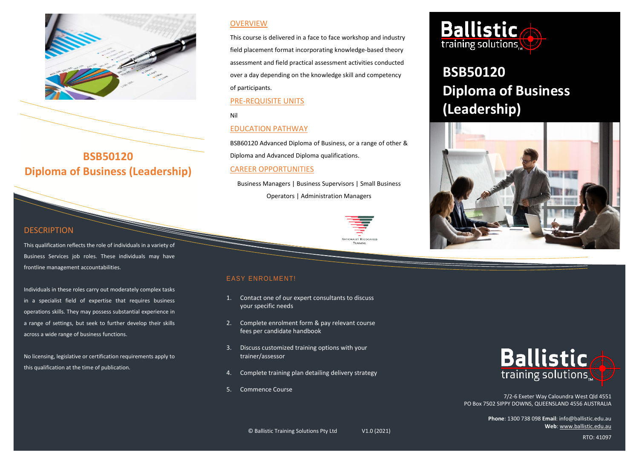

## **BSB50120 Diploma of Business (Leadership)**

## **DESCRIPTION**

This qualification reflects the role of individuals in a variety of Business Services job roles. These individuals may have frontline management accountabilities.

Individuals in these roles carry out moderately complex tasks in a specialist field of expertise that requires business operations skills. They may possess substantial experience in a range of settings, but seek to further develop their skills across a wide range of business functions.

No licensing, legislative or certification requirements apply to this qualification at the time of publication.

## **OVERVIEW**

This course is delivered in a face to face workshop and industry field placement format incorporating knowledge-based theory assessment and field practical assessment activities conducted over a day depending on the knowledge skill and competency of participants.

## PRE-REQUISITE UNITS

Nil

## EDUCATION PATHWAY

BSB60120 Advanced Diploma of Business, or a range of other & Diploma and Advanced Diploma qualifications.

## CAREER OPPORTUNITIES

Business Managers | Business Supervisors | Small Business

Operators | Administration Managers



# TRAINING

## EASY ENROLMENT!

- 1. Contact one of our expert consultants to discuss your specific needs
- 2. Complete enrolment form & pay relevant course fees per candidate handbook
- 3. Discuss customized training options with your trainer/assessor
- 4. Complete training plan detailing delivery strategy
- 5. Commence Course



# **BSB50120 Diploma of Business (Leadership)**





7/2-6 Exeter Way Caloundra West Qld 4551 PO Box 7502 SIPPY DOWNS, QUEENSLAND 4556 AUSTRALIA

> **Phone**: 1300 738 098 **Email**: info@ballistic.edu.au **Web**[: www.ballistic.edu.au](http://www.ballistic.edu.au/)

RTO: 41097